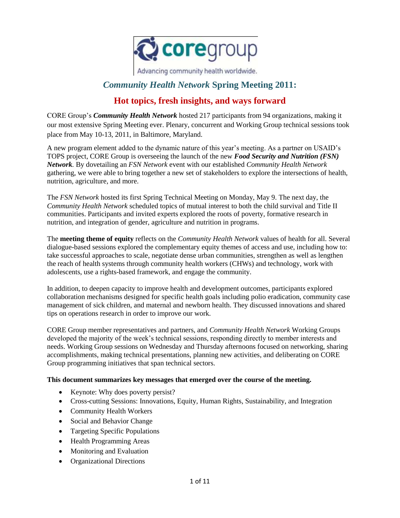

Advancing community health worldwide.

# *Community Health Network* **Spring Meeting 2011:**

# **Hot topics, fresh insights, and ways forward**

CORE Group's *Community Health Network* hosted 217 participants from 94 organizations, making it our most extensive Spring Meeting ever. Plenary, concurrent and Working Group technical sessions took place from May 10-13, 2011, in Baltimore, Maryland.

A new program element added to the dynamic nature of this year's meeting. As a partner on USAID's TOPS project, CORE Group is overseeing the launch of the new *Food Security and Nutrition (FSN) Network.* By dovetailing an *FSN Network* event with our established *Community Health Network* gathering, we were able to bring together a new set of stakeholders to explore the intersections of health, nutrition, agriculture, and more.

The *FSN Network* hosted its first Spring Technical Meeting on Monday, May 9. The next day, the *Community Health Network* scheduled topics of mutual interest to both the child survival and Title II communities. Participants and invited experts explored the roots of poverty, formative research in nutrition, and integration of gender, agriculture and nutrition in programs.

The **meeting theme of equity** reflects on the *Community Health Network* values of health for all. Several dialogue-based sessions explored the complementary equity themes of access and use, including how to: take successful approaches to scale, negotiate dense urban communities, strengthen as well as lengthen the reach of health systems through community health workers (CHWs) and technology, work with adolescents, use a rights-based framework, and engage the community.

In addition, to deepen capacity to improve health and development outcomes, participants explored collaboration mechanisms designed for specific health goals including polio eradication, community case management of sick children, and maternal and newborn health. They discussed innovations and shared tips on operations research in order to improve our work.

CORE Group member representatives and partners, and *Community Health Network* Working Groups developed the majority of the week's technical sessions, responding directly to member interests and needs. Working Group sessions on Wednesday and Thursday afternoons focused on networking, sharing accomplishments, making technical presentations, planning new activities, and deliberating on CORE Group programming initiatives that span technical sectors.

## **This document summarizes key messages that emerged over the course of the meeting.**

- Keynote: Why does poverty persist?
- Cross-cutting Sessions: Innovations, Equity, Human Rights, Sustainability, and Integration
- Community Health Workers
- Social and Behavior Change
- Targeting Specific Populations
- Health Programming Areas
- Monitoring and Evaluation
- Organizational Directions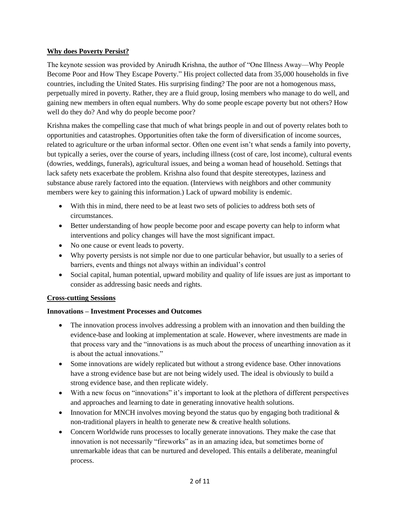## **Why does Poverty Persist?**

The keynote session was provided by Anirudh Krishna, the author of "One Illness Away—Why People Become Poor and How They Escape Poverty." His project collected data from 35,000 households in five countries, including the United States. His surprising finding? The poor are not a homogenous mass, perpetually mired in poverty. Rather, they are a fluid group, losing members who manage to do well, and gaining new members in often equal numbers. Why do some people escape poverty but not others? How well do they do? And why do people become poor?

Krishna makes the compelling case that much of what brings people in and out of poverty relates both to opportunities and catastrophes. Opportunities often take the form of diversification of income sources, related to agriculture or the urban informal sector. Often one event isn't what sends a family into poverty, but typically a series, over the course of years, including illness (cost of care, lost income), cultural events (dowries, weddings, funerals), agricultural issues, and being a woman head of household. Settings that lack safety nets exacerbate the problem. Krishna also found that despite stereotypes, laziness and substance abuse rarely factored into the equation. (Interviews with neighbors and other community members were key to gaining this information.) Lack of upward mobility is endemic.

- With this in mind, there need to be at least two sets of policies to address both sets of circumstances.
- Better understanding of how people become poor and escape poverty can help to inform what interventions and policy changes will have the most significant impact.
- No one cause or event leads to poverty.
- Why poverty persists is not simple nor due to one particular behavior, but usually to a series of barriers, events and things not always within an individual's control
- Social capital, human potential, upward mobility and quality of life issues are just as important to consider as addressing basic needs and rights.

## **Cross-cutting Sessions**

## **Innovations – Investment Processes and Outcomes**

- The innovation process involves addressing a problem with an innovation and then building the evidence-base and looking at implementation at scale. However, where investments are made in that process vary and the "innovations is as much about the process of unearthing innovation as it is about the actual innovations."
- Some innovations are widely replicated but without a strong evidence base. Other innovations have a strong evidence base but are not being widely used. The ideal is obviously to build a strong evidence base, and then replicate widely.
- With a new focus on "innovations" it's important to look at the plethora of different perspectives and approaches and learning to date in generating innovative health solutions.
- Innovation for MNCH involves moving beyond the status quo by engaging both traditional  $\&$ non-traditional players in health to generate new & creative health solutions.
- Concern Worldwide runs processes to locally generate innovations. They make the case that innovation is not necessarily "fireworks" as in an amazing idea, but sometimes borne of unremarkable ideas that can be nurtured and developed. This entails a deliberate, meaningful process.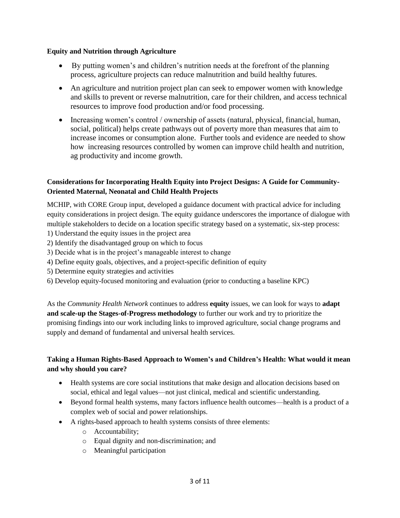#### **Equity and Nutrition through Agriculture**

- By putting women's and children's nutrition needs at the forefront of the planning process, agriculture projects can reduce malnutrition and build healthy futures.
- An agriculture and nutrition project plan can seek to empower women with knowledge and skills to prevent or reverse malnutrition, care for their children, and access technical resources to improve food production and/or food processing.
- Increasing women's control / ownership of assets (natural, physical, financial, human, social, political) helps create pathways out of poverty more than measures that aim to increase incomes or consumption alone. Further tools and evidence are needed to show how increasing resources controlled by women can improve child health and nutrition, ag productivity and income growth.

## **Considerations for Incorporating Health Equity into Project Designs: A Guide for Community-Oriented Maternal, Neonatal and Child Health Projects**

MCHIP, with CORE Group input, developed a guidance document with practical advice for including equity considerations in project design. The equity guidance underscores the importance of dialogue with multiple stakeholders to decide on a location specific strategy based on a systematic, six-step process:

- 1) Understand the equity issues in the project area
- 2) Identify the disadvantaged group on which to focus
- 3) Decide what is in the project's manageable interest to change
- 4) Define equity goals, objectives, and a project-specific definition of equity
- 5) Determine equity strategies and activities
- 6) Develop equity-focused monitoring and evaluation (prior to conducting a baseline KPC)

As the *Community Health Network* continues to address **equity** issues, we can look for ways to **adapt and scale-up the Stages-of-Progress methodology** to further our work and try to prioritize the promising findings into our work including links to improved agriculture, social change programs and supply and demand of fundamental and universal health services.

# **Taking a Human Rights-Based Approach to Women's and Children's Health: What would it mean and why should you care?**

- Health systems are core social institutions that make design and allocation decisions based on social, ethical and legal values—not just clinical, medical and scientific understanding.
- Beyond formal health systems, many factors influence health outcomes—health is a product of a complex web of social and power relationships.
- A rights-based approach to health systems consists of three elements:
	- o Accountability;
	- o Equal dignity and non-discrimination; and
	- o Meaningful participation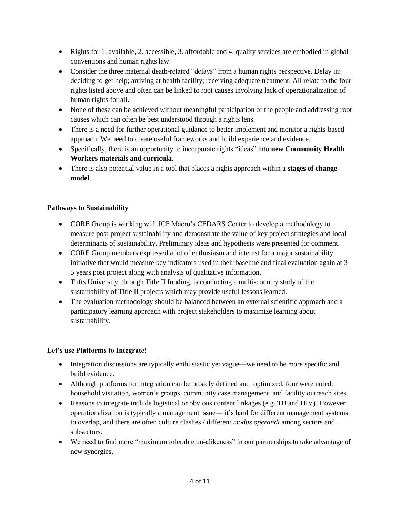- Rights for 1. available, 2. accessible, 3. affordable and 4. quality services are embodied in global conventions and human rights law.
- Consider the three maternal death-related "delays" from a human rights perspective. Delay in: deciding to get help; arriving at health facility; receiving adequate treatment. All relate to the four rights listed above and often can be linked to root causes involving lack of operationalization of human rights for all.
- None of these can be achieved without meaningful participation of the people and addressing root causes which can often be best understood through a rights lens.
- There is a need for further operational guidance to better implement and monitor a rights-based approach. We need to create useful frameworks and build experience and evidence.
- Specifically, there is an opportunity to incorporate rights "ideas" into **new Community Health Workers materials and curricula**.
- There is also potential value in a tool that places a rights approach within a **stages of change model**.

## **Pathways to Sustainability**

- CORE Group is working with ICF Macro's CEDARS Center to develop a methodology to measure post-project sustainability and demonstrate the value of key project strategies and local determinants of sustainability. Preliminary ideas and hypothesis were presented for comment.
- CORE Group members expressed a lot of enthusiasm and interest for a major sustainability initiative that would measure key indicators used in their baseline and final evaluation again at 3- 5 years post project along with analysis of qualitative information.
- Tufts University, through Title II funding, is conducting a multi-country study of the sustainability of Title II projects which may provide useful lessons learned.
- The evaluation methodology should be balanced between an external scientific approach and a participatory learning approach with project stakeholders to maximize learning about sustainability.

# **Let's use Platforms to Integrate!**

- Integration discussions are typically enthusiastic yet vague—we need to be more specific and build evidence.
- Although platforms for integration can be broadly defined and optimized, four were noted: household visitation, women's groups, community case management, and facility outreach sites.
- Reasons to integrate include logistical or obvious content linkages (e.g. TB and HIV). However operationalization is typically a management issue— it's hard for different management systems to overlap, and there are often culture clashes / different *modus operandi* among sectors and subsectors.
- We need to find more "maximum tolerable un-alikeness" in our partnerships to take advantage of new synergies.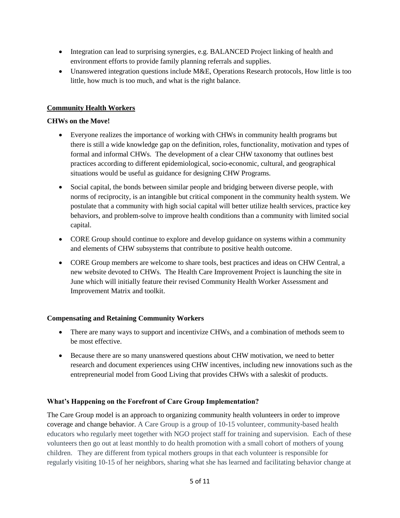- Integration can lead to surprising synergies, e.g. BALANCED Project linking of health and environment efforts to provide family planning referrals and supplies.
- Unanswered integration questions include M&E, Operations Research protocols, How little is too little, how much is too much, and what is the right balance.

## **Community Health Workers**

## **CHWs on the Move!**

- Everyone realizes the importance of working with CHWs in community health programs but there is still a wide knowledge gap on the definition, roles, functionality, motivation and types of formal and informal CHWs. The development of a clear CHW taxonomy that outlines best practices according to different epidemiological, socio-economic, cultural, and geographical situations would be useful as guidance for designing CHW Programs.
- Social capital, the bonds between similar people and bridging between diverse people, with norms of reciprocity, is an intangible but critical component in the community health system. We postulate that a community with high social capital will better utilize health services, practice key behaviors, and problem-solve to improve health conditions than a community with limited social capital.
- CORE Group should continue to explore and develop guidance on systems within a community and elements of CHW subsystems that contribute to positive health outcome.
- CORE Group members are welcome to share tools, best practices and ideas on CHW Central, a new website devoted to CHWs. The Health Care Improvement Project is launching the site in June which will initially feature their revised Community Health Worker Assessment and Improvement Matrix and toolkit.

## **Compensating and Retaining Community Workers**

- There are many ways to support and incentivize CHWs, and a combination of methods seem to be most effective.
- Because there are so many unanswered questions about CHW motivation, we need to better research and document experiences using CHW incentives, including new innovations such as the entrepreneurial model from Good Living that provides CHWs with a saleskit of products.

## **What's Happening on the Forefront of Care Group Implementation?**

The Care Group model is an approach to organizing community health volunteers in order to improve coverage and change behavior. A Care Group is a group of 10-15 volunteer, community-based health educators who regularly meet together with NGO project staff for training and supervision. Each of these volunteers then go out at least monthly to do health promotion with a small cohort of mothers of young children. They are different from typical mothers groups in that each volunteer is responsible for regularly visiting 10-15 of her neighbors, sharing what she has learned and facilitating behavior change at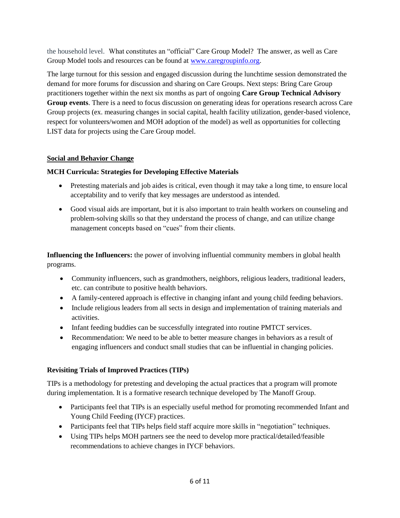the household level. What constitutes an "official" Care Group Model? The answer, as well as Care Group Model tools and resources can be found at [www.caregroupinfo.org.](http://www.caregroupinfo.org/)

The large turnout for this session and engaged discussion during the lunchtime session demonstrated the demand for more forums for discussion and sharing on Care Groups. Next steps: Bring Care Group practitioners together within the next six months as part of ongoing **Care Group Technical Advisory Group events**. There is a need to focus discussion on generating ideas for operations research across Care Group projects (ex. measuring changes in social capital, health facility utilization, gender-based violence, respect for volunteers/women and MOH adoption of the model) as well as opportunities for collecting LIST data for projects using the Care Group model.

# **Social and Behavior Change**

## **MCH Curricula: Strategies for Developing Effective Materials**

- Pretesting materials and job aides is critical, even though it may take a long time, to ensure local acceptability and to verify that key messages are understood as intended.
- Good visual aids are important, but it is also important to train health workers on counseling and problem-solving skills so that they understand the process of change, and can utilize change management concepts based on "cues" from their clients.

**Influencing the Influencers:** the power of involving influential community members in global health programs.

- Community influencers, such as grandmothers, neighbors, religious leaders, traditional leaders, etc. can contribute to positive health behaviors.
- A family-centered approach is effective in changing infant and young child feeding behaviors.
- Include religious leaders from all sects in design and implementation of training materials and activities.
- Infant feeding buddies can be successfully integrated into routine PMTCT services.
- Recommendation: We need to be able to better measure changes in behaviors as a result of engaging influencers and conduct small studies that can be influential in changing policies.

# **Revisiting Trials of Improved Practices (TIPs)**

TIPs is a methodology for pretesting and developing the actual practices that a program will promote during implementation. It is a formative research technique developed by The Manoff Group.

- Participants feel that TIPs is an especially useful method for promoting recommended Infant and Young Child Feeding (IYCF) practices.
- Participants feel that TIPs helps field staff acquire more skills in "negotiation" techniques.
- Using TIPs helps MOH partners see the need to develop more practical/detailed/feasible recommendations to achieve changes in IYCF behaviors.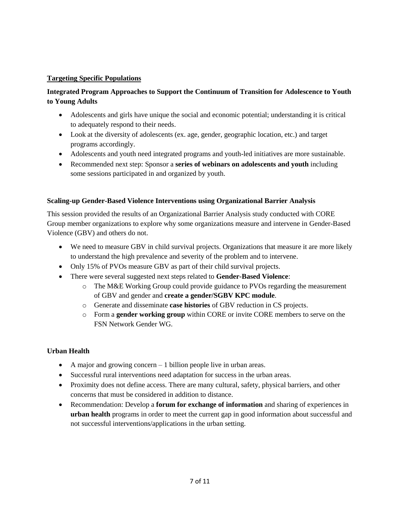## **Targeting Specific Populations**

## **Integrated Program Approaches to Support the Continuum of Transition for Adolescence to Youth to Young Adults**

- Adolescents and girls have unique the social and economic potential; understanding it is critical to adequately respond to their needs.
- Look at the diversity of adolescents (ex. age, gender, geographic location, etc.) and target programs accordingly.
- Adolescents and youth need integrated programs and youth-led initiatives are more sustainable.
- Recommended next step: Sponsor a **series of webinars on adolescents and youth** including some sessions participated in and organized by youth.

## **Scaling-up Gender-Based Violence Interventions using Organizational Barrier Analysis**

This session provided the results of an Organizational Barrier Analysis study conducted with CORE Group member organizations to explore why some organizations measure and intervene in Gender-Based Violence (GBV) and others do not.

- We need to measure GBV in child survival projects. Organizations that measure it are more likely to understand the high prevalence and severity of the problem and to intervene.
- Only 15% of PVOs measure GBV as part of their child survival projects.
- There were several suggested next steps related to **Gender-Based Violence**:
	- o The M&E Working Group could provide guidance to PVOs regarding the measurement of GBV and gender and **create a gender/SGBV KPC module**.
	- o Generate and disseminate **case histories** of GBV reduction in CS projects.
	- o Form a **gender working group** within CORE or invite CORE members to serve on the FSN Network Gender WG.

## **Urban Health**

- A major and growing concern 1 billion people live in urban areas.
- Successful rural interventions need adaptation for success in the urban areas.
- Proximity does not define access. There are many cultural, safety, physical barriers, and other concerns that must be considered in addition to distance.
- Recommendation: Develop a **forum for exchange of information** and sharing of experiences in **urban health** programs in order to meet the current gap in good information about successful and not successful interventions/applications in the urban setting.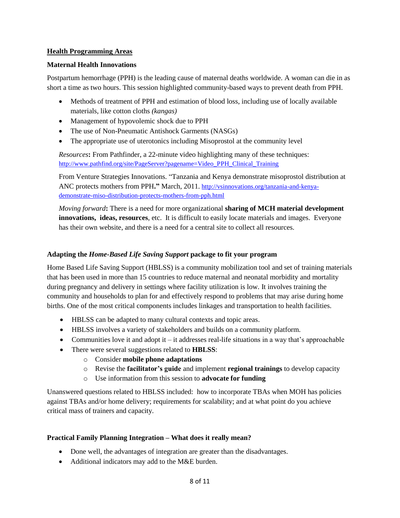#### **Health Programming Areas**

#### **Maternal Health Innovations**

Postpartum hemorrhage (PPH) is the leading cause of maternal deaths worldwide. A woman can die in as short a time as two hours. This session highlighted community-based ways to prevent death from PPH.

- Methods of treatment of PPH and estimation of blood loss, including use of locally available materials, like cotton cloths *(kangas)*
- Management of hypovolemic shock due to PPH
- The use of Non-Pneumatic Antishock Garments (NASGs)
- The appropriate use of uterotonics including Misoprostol at the community level

*Resources***:** From Pathfinder, a 22-minute video highlighting many of these techniques: [http://www.pathfind.org/site/PageServer?pagename=Video\\_PPH\\_Clinical\\_Training](http://www.pathfind.org/site/PageServer?pagename=Video_PPH_Clinical_Training)

From Venture Strategies Innovations. "Tanzania and Kenya demonstrate misoprostol distribution at ANC protects mothers from PPH**."** March, 2011. [http://vsinnovations.org/tanzania-and-kenya](http://vsinnovations.org/tanzania-and-kenya-demonstrate-miso-distribution-protects-mothers-from-pph.html)[demonstrate-miso-distribution-protects-mothers-from-pph.html](http://vsinnovations.org/tanzania-and-kenya-demonstrate-miso-distribution-protects-mothers-from-pph.html)

*Moving forward***:** There is a need for more organizational **sharing of MCH material development innovations, ideas, resources**, etc. It is difficult to easily locate materials and images. Everyone has their own website, and there is a need for a central site to collect all resources.

#### **Adapting the** *Home-Based Life Saving Support* **package to fit your program**

Home Based Life Saving Support (HBLSS) is a community mobilization tool and set of training materials that has been used in more than 15 countries to reduce maternal and neonatal morbidity and mortality during pregnancy and delivery in settings where facility utilization is low. It involves training the community and households to plan for and effectively respond to problems that may arise during home births. One of the most critical components includes linkages and transportation to health facilities.

- HBLSS can be adapted to many cultural contexts and topic areas.
- HBLSS involves a variety of stakeholders and builds on a community platform.
- Communities love it and adopt it it addresses real-life situations in a way that's approachable
- There were several suggestions related to **HBLSS**:
	- o Consider **mobile phone adaptations**
	- o Revise the **facilitator's guide** and implement **regional trainings** to develop capacity
	- o Use information from this session to **advocate for funding**

Unanswered questions related to HBLSS included: how to incorporate TBAs when MOH has policies against TBAs and/or home delivery; requirements for scalability; and at what point do you achieve critical mass of trainers and capacity.

#### **Practical Family Planning Integration – What does it really mean?**

- Done well, the advantages of integration are greater than the disadvantages.
- Additional indicators may add to the M&E burden.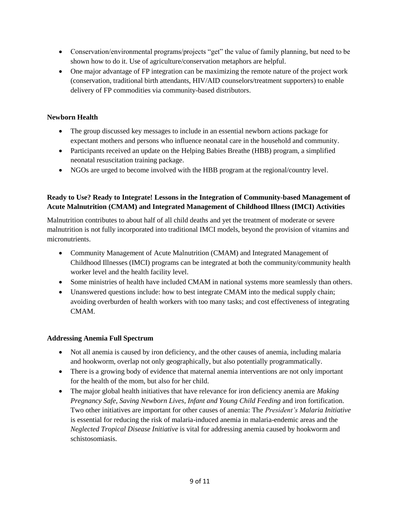- Conservation/environmental programs/projects "get" the value of family planning, but need to be shown how to do it. Use of agriculture/conservation metaphors are helpful.
- One major advantage of FP integration can be maximizing the remote nature of the project work (conservation, traditional birth attendants, HIV/AID counselors/treatment supporters) to enable delivery of FP commodities via community-based distributors.

# **Newborn Health**

- The group discussed key messages to include in an essential newborn actions package for expectant mothers and persons who influence neonatal care in the household and community.
- Participants received an update on the Helping Babies Breathe (HBB) program, a simplified neonatal resuscitation training package.
- NGOs are urged to become involved with the HBB program at the regional/country level.

# **Ready to Use? Ready to Integrate! Lessons in the Integration of Community-based Management of Acute Malnutrition (CMAM) and Integrated Management of Childhood Illness (IMCI) Activities**

Malnutrition contributes to about half of all child deaths and yet the treatment of moderate or severe malnutrition is not fully incorporated into traditional IMCI models, beyond the provision of vitamins and micronutrients.

- Community Management of Acute Malnutrition (CMAM) and Integrated Management of Childhood Illnesses (IMCI) programs can be integrated at both the community/community health worker level and the health facility level.
- Some ministries of health have included CMAM in national systems more seamlessly than others.
- Unanswered questions include: how to best integrate CMAM into the medical supply chain; avoiding overburden of health workers with too many tasks; and cost effectiveness of integrating **CMAM**

# **Addressing Anemia Full Spectrum**

- Not all anemia is caused by iron deficiency, and the other causes of anemia, including malaria and hookworm, overlap not only geographically, but also potentially programmatically.
- There is a growing body of evidence that maternal anemia interventions are not only important for the health of the mom, but also for her child.
- The major global health initiatives that have relevance for iron deficiency anemia are *Making Pregnancy Safe, Saving Newborn Lives, Infant and Young Child Feeding* and iron fortification. Two other initiatives are important for other causes of anemia: The *President's Malaria Initiative* is essential for reducing the risk of malaria-induced anemia in malaria-endemic areas and the *Neglected Tropical Disease Initiative* is vital for addressing anemia caused by hookworm and schistosomiasis.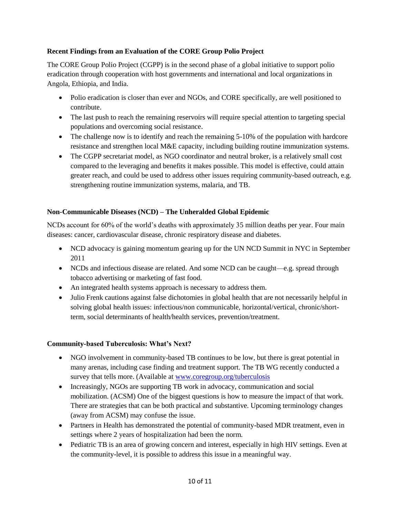## **Recent Findings from an Evaluation of the CORE Group Polio Project**

The CORE Group Polio Project (CGPP) is in the second phase of a global initiative to support polio eradication through cooperation with host governments and international and local organizations in Angola, Ethiopia, and India.

- Polio eradication is closer than ever and NGOs, and CORE specifically, are well positioned to contribute.
- The last push to reach the remaining reservoirs will require special attention to targeting special populations and overcoming social resistance.
- The challenge now is to identify and reach the remaining 5-10% of the population with hardcore resistance and strengthen local M&E capacity, including building routine immunization systems.
- The CGPP secretariat model, as NGO coordinator and neutral broker, is a relatively small cost compared to the leveraging and benefits it makes possible. This model is effective, could attain greater reach, and could be used to address other issues requiring community-based outreach, e.g. strengthening routine immunization systems, malaria, and TB.

## **Non-Communicable Diseases (NCD) – The Unheralded Global Epidemic**

NCDs account for 60% of the world's deaths with approximately 35 million deaths per year. Four main diseases: cancer, cardiovascular disease, chronic respiratory disease and diabetes.

- NCD advocacy is gaining momentum gearing up for the UN NCD Summit in NYC in September 2011
- NCDs and infectious disease are related. And some NCD can be caught—e.g. spread through tobacco advertising or marketing of fast food.
- An integrated health systems approach is necessary to address them.
- Julio Frenk cautions against false dichotomies in global health that are not necessarily helpful in solving global health issues: infectious/non communicable, horizontal/vertical, chronic/shortterm, social determinants of health/health services, prevention/treatment.

## **Community-based Tuberculosis: What's Next?**

- NGO involvement in community-based TB continues to be low, but there is great potential in many arenas, including case finding and treatment support. The TB WG recently conducted a survey that tells more. (Available at [www.coregroup.org/tuberculosis](http://www.coregroup.org/tuberculosis)
- Increasingly, NGOs are supporting TB work in advocacy, communication and social mobilization. (ACSM) One of the biggest questions is how to measure the impact of that work. There are strategies that can be both practical and substantive. Upcoming terminology changes (away from ACSM) may confuse the issue.
- Partners in Health has demonstrated the potential of community-based MDR treatment, even in settings where 2 years of hospitalization had been the norm.
- Pediatric TB is an area of growing concern and interest, especially in high HIV settings. Even at the community-level, it is possible to address this issue in a meaningful way.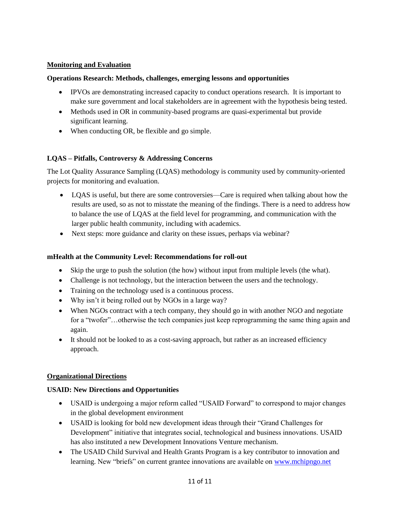## **Monitoring and Evaluation**

#### **Operations Research: Methods, challenges, emerging lessons and opportunities**

- IPVOs are demonstrating increased capacity to conduct operations research. It is important to make sure government and local stakeholders are in agreement with the hypothesis being tested.
- Methods used in OR in community-based programs are quasi-experimental but provide significant learning.
- When conducting OR, be flexible and go simple.

## **LQAS – Pitfalls, Controversy & Addressing Concerns**

The Lot Quality Assurance Sampling (LQAS) methodology is community used by community-oriented projects for monitoring and evaluation.

- LQAS is useful, but there are some controversies—Care is required when talking about how the results are used, so as not to misstate the meaning of the findings. There is a need to address how to balance the use of LQAS at the field level for programming, and communication with the larger public health community, including with academics.
- Next steps: more guidance and clarity on these issues, perhaps via webinar?

#### **mHealth at the Community Level: Recommendations for roll-out**

- Skip the urge to push the solution (the how) without input from multiple levels (the what).
- Challenge is not technology, but the interaction between the users and the technology.
- Training on the technology used is a continuous process.
- Why isn't it being rolled out by NGOs in a large way?
- When NGOs contract with a tech company, they should go in with another NGO and negotiate for a "twofer"...otherwise the tech companies just keep reprogramming the same thing again and again.
- It should not be looked to as a cost-saving approach, but rather as an increased efficiency approach.

## **Organizational Directions**

## **USAID: New Directions and Opportunities**

- USAID is undergoing a major reform called "USAID Forward" to correspond to major changes in the global development environment
- USAID is looking for bold new development ideas through their "Grand Challenges for Development" initiative that integrates social, technological and business innovations. USAID has also instituted a new Development Innovations Venture mechanism.
- The USAID Child Survival and Health Grants Program is a key contributor to innovation and learning. New "briefs" on current grantee innovations are available on [www.mchipngo.net](http://www.mchipngo.net/)